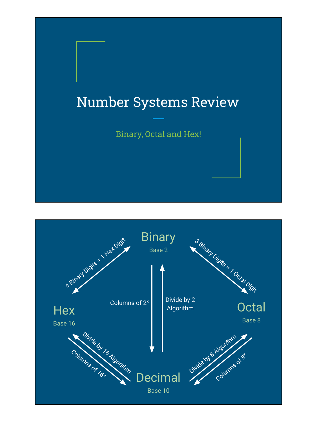# Number Systems Review

Binary, Octal and Hex!